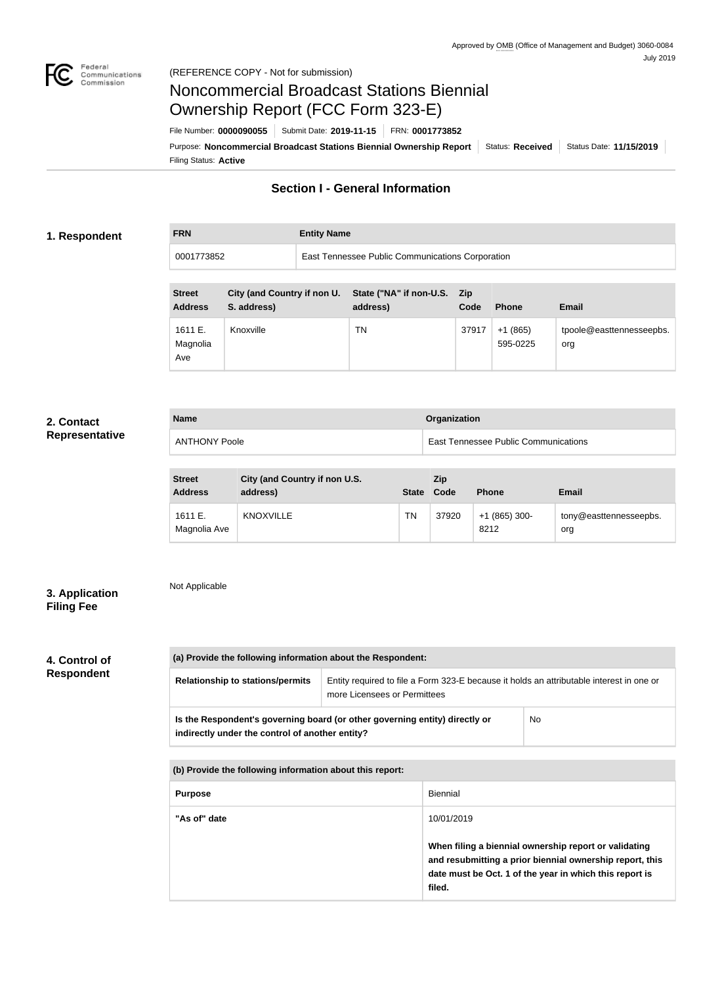

**FRN Entity Name**

# Noncommercial Broadcast Stations Biennial Ownership Report (FCC Form 323-E)

Filing Status: **Active** Purpose: Noncommercial Broadcast Stations Biennial Ownership Report Status: Received Status Date: 11/15/2019 File Number: **0000090055** Submit Date: **2019-11-15** FRN: **0001773852**

## **Section I - General Information**

## **1. Respondent**

0001773852 East Tennessee Public Communications Corporation

| <b>Street</b><br><b>Address</b> | City (and Country if non U.<br>S. address) | State ("NA" if non-U.S.<br>address) | <b>Zip</b><br>Code | <b>Phone</b>          | <b>Email</b>                    |
|---------------------------------|--------------------------------------------|-------------------------------------|--------------------|-----------------------|---------------------------------|
| 1611 E.<br>Magnolia<br>Ave      | Knoxville                                  | ΤN                                  | 37917              | $+1(865)$<br>595-0225 | tpoole@easttennesseepbs.<br>org |

## **2. Contact Representative**

| <b>Name</b>          | Organization                                |
|----------------------|---------------------------------------------|
| <b>ANTHONY Poole</b> | <b>East Tennessee Public Communications</b> |

| <b>Street</b><br><b>Address</b> | City (and Country if non U.S.<br>address) |    | <b>Zip</b><br>State Code | <b>Phone</b>          | <b>Email</b>                  |
|---------------------------------|-------------------------------------------|----|--------------------------|-----------------------|-------------------------------|
| 1611 E.<br>Magnolia Ave         | <b>KNOXVILLE</b>                          | ΤN | 37920                    | $+1(865)300-$<br>8212 | tony@easttennesseepbs.<br>org |

## **3. Application Filing Fee**

Not Applicable

## **4. Control of Respondent**

| (a) Provide the following information about the Respondent: |                                                                                                                          |           |  |  |
|-------------------------------------------------------------|--------------------------------------------------------------------------------------------------------------------------|-----------|--|--|
| <b>Relationship to stations/permits</b>                     | Entity required to file a Form 323-E because it holds an attributable interest in one or<br>more Licensees or Permittees |           |  |  |
| indirectly under the control of another entity?             | Is the Respondent's governing board (or other governing entity) directly or                                              | <b>No</b> |  |  |

**(b) Provide the following information about this report:**

| <b>Purpose</b> | Biennial                                                                                                                                                                               |
|----------------|----------------------------------------------------------------------------------------------------------------------------------------------------------------------------------------|
| "As of" date   | 10/01/2019                                                                                                                                                                             |
|                | When filing a biennial ownership report or validating<br>and resubmitting a prior biennial ownership report, this<br>date must be Oct. 1 of the year in which this report is<br>filed. |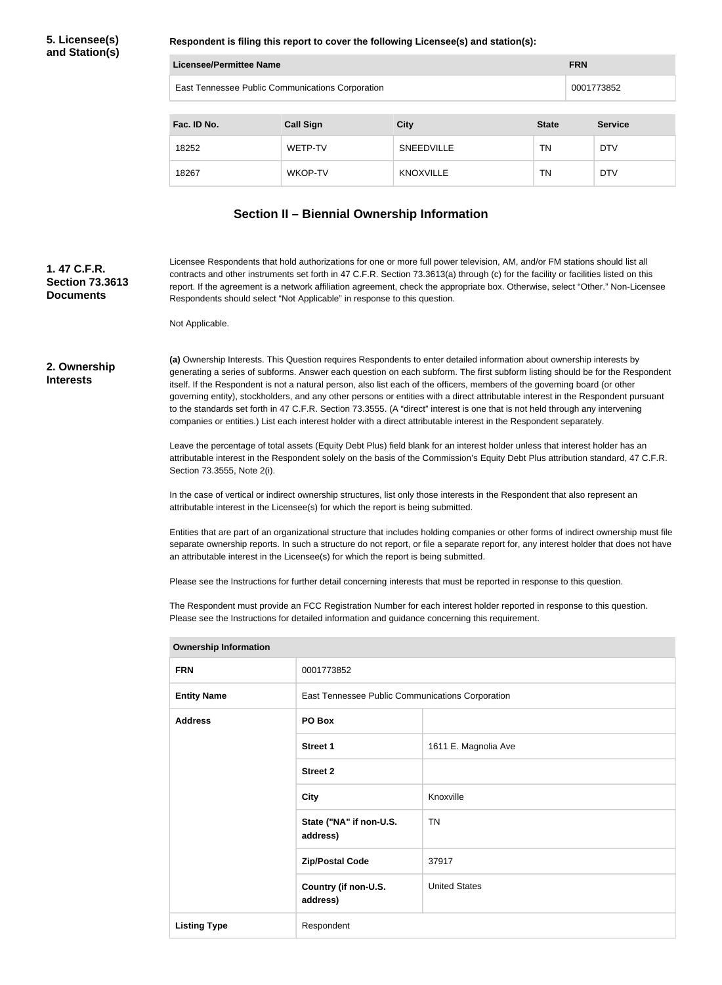**Respondent is filing this report to cover the following Licensee(s) and station(s):**

| Licensee/Permittee Name                          | <b>FRN</b>       |                   |              |                |
|--------------------------------------------------|------------------|-------------------|--------------|----------------|
| East Tennessee Public Communications Corporation |                  |                   |              | 0001773852     |
| Fac. ID No.                                      | <b>Call Sign</b> | <b>City</b>       | <b>State</b> | <b>Service</b> |
| 18252                                            | WETP-TV          | <b>SNEEDVILLE</b> | TN           | <b>DTV</b>     |
| 18267                                            | WKOP-TV          | <b>KNOXVILLE</b>  | TN.          | <b>DTV</b>     |

## **Section II – Biennial Ownership Information**

**1. 47 C.F.R. Section 73.3613 Documents**

Licensee Respondents that hold authorizations for one or more full power television, AM, and/or FM stations should list all contracts and other instruments set forth in 47 C.F.R. Section 73.3613(a) through (c) for the facility or facilities listed on this report. If the agreement is a network affiliation agreement, check the appropriate box. Otherwise, select "Other." Non-Licensee Respondents should select "Not Applicable" in response to this question.

Not Applicable.

#### **2. Ownership Interests**

**(a)** Ownership Interests. This Question requires Respondents to enter detailed information about ownership interests by generating a series of subforms. Answer each question on each subform. The first subform listing should be for the Respondent itself. If the Respondent is not a natural person, also list each of the officers, members of the governing board (or other governing entity), stockholders, and any other persons or entities with a direct attributable interest in the Respondent pursuant to the standards set forth in 47 C.F.R. Section 73.3555. (A "direct" interest is one that is not held through any intervening companies or entities.) List each interest holder with a direct attributable interest in the Respondent separately.

Leave the percentage of total assets (Equity Debt Plus) field blank for an interest holder unless that interest holder has an attributable interest in the Respondent solely on the basis of the Commission's Equity Debt Plus attribution standard, 47 C.F.R. Section 73.3555, Note 2(i).

In the case of vertical or indirect ownership structures, list only those interests in the Respondent that also represent an attributable interest in the Licensee(s) for which the report is being submitted.

Entities that are part of an organizational structure that includes holding companies or other forms of indirect ownership must file separate ownership reports. In such a structure do not report, or file a separate report for, any interest holder that does not have an attributable interest in the Licensee(s) for which the report is being submitted.

Please see the Instructions for further detail concerning interests that must be reported in response to this question.

The Respondent must provide an FCC Registration Number for each interest holder reported in response to this question. Please see the Instructions for detailed information and guidance concerning this requirement.

| <b>FRN</b>          | 0001773852                                       |                      |
|---------------------|--------------------------------------------------|----------------------|
| <b>Entity Name</b>  | East Tennessee Public Communications Corporation |                      |
| <b>Address</b>      | PO Box                                           |                      |
|                     | Street 1                                         | 1611 E. Magnolia Ave |
|                     | <b>Street 2</b>                                  |                      |
|                     | <b>City</b>                                      | Knoxville            |
|                     | State ("NA" if non-U.S.<br>address)              | <b>TN</b>            |
|                     | <b>Zip/Postal Code</b>                           | 37917                |
|                     | Country (if non-U.S.<br>address)                 | <b>United States</b> |
| <b>Listing Type</b> | Respondent                                       |                      |

## **Ownership Information**